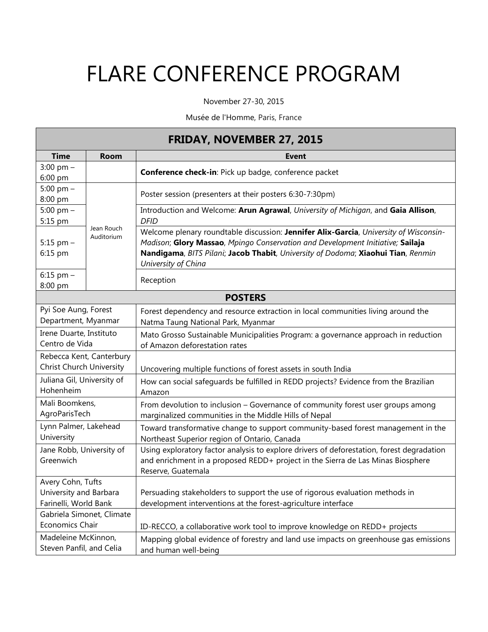## FLARE CONFERENCE PROGRAM

November 27-30, 2015

Musée de l'Homme, Paris, France

| <b>FRIDAY, NOVEMBER 27, 2015</b> |             |                                                                                           |  |
|----------------------------------|-------------|-------------------------------------------------------------------------------------------|--|
| <b>Time</b>                      | <b>Room</b> | <b>Event</b>                                                                              |  |
| $3:00$ pm $-$                    |             | <b>Conference check-in: Pick up badge, conference packet</b>                              |  |
| $6:00$ pm                        |             |                                                                                           |  |
| 5:00 pm $-$                      |             | Poster session (presenters at their posters 6:30-7:30pm)                                  |  |
| 8:00 pm                          |             |                                                                                           |  |
| 5:00 pm $-$                      |             | Introduction and Welcome: Arun Agrawal, University of Michigan, and Gaia Allison,         |  |
| 5:15 pm                          | Jean Rouch  | <b>DFID</b>                                                                               |  |
|                                  | Auditorium  | Welcome plenary roundtable discussion: Jennifer Alix-Garcia, University of Wisconsin-     |  |
| 5:15 pm $-$                      |             | Madison; Glory Massao, Mpingo Conservation and Development Initiative; Sailaja            |  |
| 6:15 pm                          |             | Nandigama, BITS Pilani; Jacob Thabit, University of Dodoma; Xiaohui Tian, Renmin          |  |
|                                  |             | University of China                                                                       |  |
| $6:15$ pm $-$                    |             | Reception                                                                                 |  |
| 8:00 pm                          |             |                                                                                           |  |
|                                  |             | <b>POSTERS</b>                                                                            |  |
| Pyi Soe Aung, Forest             |             | Forest dependency and resource extraction in local communities living around the          |  |
| Department, Myanmar              |             | Natma Taung National Park, Myanmar                                                        |  |
| Irene Duarte, Instituto          |             | Mato Grosso Sustainable Municipalities Program: a governance approach in reduction        |  |
| Centro de Vida                   |             | of Amazon deforestation rates                                                             |  |
| Rebecca Kent, Canterbury         |             |                                                                                           |  |
| <b>Christ Church University</b>  |             | Uncovering multiple functions of forest assets in south India                             |  |
| Juliana Gil, University of       |             | How can social safeguards be fulfilled in REDD projects? Evidence from the Brazilian      |  |
| Hohenheim                        |             | Amazon                                                                                    |  |
| Mali Boomkens,                   |             | From devolution to inclusion - Governance of community forest user groups among           |  |
| AgroParisTech                    |             | marginalized communities in the Middle Hills of Nepal                                     |  |
| Lynn Palmer, Lakehead            |             | Toward transformative change to support community-based forest management in the          |  |
| University                       |             | Northeast Superior region of Ontario, Canada                                              |  |
| Jane Robb, University of         |             | Using exploratory factor analysis to explore drivers of deforestation, forest degradation |  |
| Greenwich                        |             | and enrichment in a proposed REDD+ project in the Sierra de Las Minas Biosphere           |  |
|                                  |             | Reserve, Guatemala                                                                        |  |
| Avery Cohn, Tufts                |             |                                                                                           |  |
| University and Barbara           |             | Persuading stakeholders to support the use of rigorous evaluation methods in              |  |
| Farinelli, World Bank            |             | development interventions at the forest-agriculture interface                             |  |
| Gabriela Simonet, Climate        |             |                                                                                           |  |
| Economics Chair                  |             | ID-RECCO, a collaborative work tool to improve knowledge on REDD+ projects                |  |
| Madeleine McKinnon,              |             | Mapping global evidence of forestry and land use impacts on greenhouse gas emissions      |  |
| Steven Panfil, and Celia         |             | and human well-being                                                                      |  |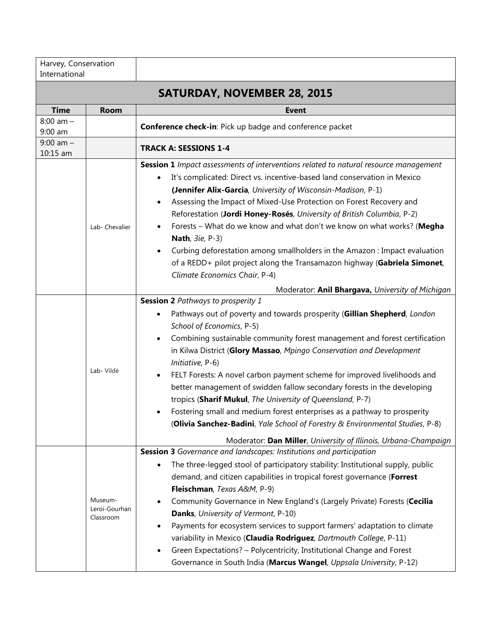| Harvey, Conservation<br>International |                                       |                                                                                                                                                                                                                                                                                                                                                                                                                                                                                                                                                                                                                                                                                                                                                                                                     |
|---------------------------------------|---------------------------------------|-----------------------------------------------------------------------------------------------------------------------------------------------------------------------------------------------------------------------------------------------------------------------------------------------------------------------------------------------------------------------------------------------------------------------------------------------------------------------------------------------------------------------------------------------------------------------------------------------------------------------------------------------------------------------------------------------------------------------------------------------------------------------------------------------------|
|                                       |                                       | <b>SATURDAY, NOVEMBER 28, 2015</b>                                                                                                                                                                                                                                                                                                                                                                                                                                                                                                                                                                                                                                                                                                                                                                  |
| <b>Time</b>                           | <b>Room</b>                           | <b>Event</b>                                                                                                                                                                                                                                                                                                                                                                                                                                                                                                                                                                                                                                                                                                                                                                                        |
| $8:00$ am $-$<br>$9:00$ am            |                                       | Conference check-in: Pick up badge and conference packet                                                                                                                                                                                                                                                                                                                                                                                                                                                                                                                                                                                                                                                                                                                                            |
| $9:00$ am $-$<br>10:15 am             |                                       | <b>TRACK A: SESSIONS 1-4</b>                                                                                                                                                                                                                                                                                                                                                                                                                                                                                                                                                                                                                                                                                                                                                                        |
|                                       | Lab- Chevalier                        | <b>Session 1</b> Impact assessments of interventions related to natural resource management<br>It's complicated: Direct vs. incentive-based land conservation in Mexico<br>(Jennifer Alix-Garcia, University of Wisconsin-Madison, P-1)<br>Assessing the Impact of Mixed-Use Protection on Forest Recovery and<br>Reforestation (Jordi Honey-Rosés, University of British Columbia, P-2)<br>Forests - What do we know and what don't we know on what works? (Megha<br><b>Nath</b> , 3ie, P-3)<br>Curbing deforestation among smallholders in the Amazon : Impact evaluation<br>of a REDD+ pilot project along the Transamazon highway (Gabriela Simonet,<br>Climate Economics Chair, P-4)<br>Moderator: Anil Bhargava, University of Michigan                                                       |
|                                       | Lab-Vildé                             | Session 2 Pathways to prosperity 1<br>Pathways out of poverty and towards prosperity (Gillian Shepherd, London<br>School of Economics, P-5)<br>Combining sustainable community forest management and forest certification<br>$\bullet$<br>in Kilwa District (Glory Massao, Mpingo Conservation and Development<br>Initiative, P-6)<br>FELT Forests: A novel carbon payment scheme for improved livelihoods and<br>$\bullet$<br>better management of swidden fallow secondary forests in the developing<br>tropics (Sharif Mukul, The University of Queensland, P-7)<br>Fostering small and medium forest enterprises as a pathway to prosperity<br>(Olivia Sanchez-Badini, Yale School of Forestry & Environmental Studies, P-8)<br>Moderator: Dan Miller, University of Illinois, Urbana-Champaign |
|                                       | Museum-<br>Leroi-Gourhan<br>Classroom | Session 3 Governance and landscapes: Institutions and participation<br>The three-legged stool of participatory stability: Institutional supply, public<br>$\bullet$<br>demand, and citizen capabilities in tropical forest governance (Forrest<br>Fleischman, Texas A&M, P-9)<br>Community Governance in New England's (Largely Private) Forests (Cecilia<br>Danks, University of Vermont, P-10)<br>Payments for ecosystem services to support farmers' adaptation to climate<br>$\bullet$<br>variability in Mexico (Claudia Rodriguez, Dartmouth College, P-11)<br>Green Expectations? - Polycentricity, Institutional Change and Forest<br>Governance in South India (Marcus Wangel, Uppsala University, P-12)                                                                                    |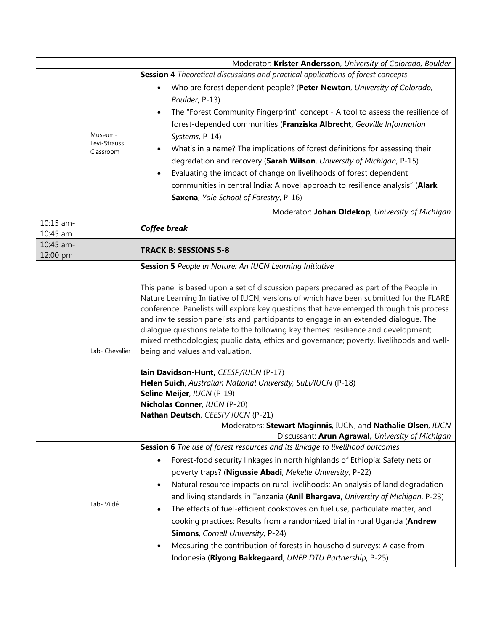|                       |                           | Moderator: Krister Andersson, University of Colorado, Boulder                                                                                                                                                                                                                                                                                                                                                                                                                                                                                                                                                                    |
|-----------------------|---------------------------|----------------------------------------------------------------------------------------------------------------------------------------------------------------------------------------------------------------------------------------------------------------------------------------------------------------------------------------------------------------------------------------------------------------------------------------------------------------------------------------------------------------------------------------------------------------------------------------------------------------------------------|
|                       |                           | <b>Session 4</b> Theoretical discussions and practical applications of forest concepts                                                                                                                                                                                                                                                                                                                                                                                                                                                                                                                                           |
|                       |                           | Who are forest dependent people? (Peter Newton, University of Colorado,<br>Boulder, P-13)                                                                                                                                                                                                                                                                                                                                                                                                                                                                                                                                        |
|                       | Museum-                   | The "Forest Community Fingerprint" concept - A tool to assess the resilience of<br>forest-depended communities (Franziska Albrecht, Geoville Information<br>Systems, P-14)                                                                                                                                                                                                                                                                                                                                                                                                                                                       |
|                       | Levi-Strauss<br>Classroom | What's in a name? The implications of forest definitions for assessing their                                                                                                                                                                                                                                                                                                                                                                                                                                                                                                                                                     |
|                       |                           | degradation and recovery (Sarah Wilson, University of Michigan, P-15)                                                                                                                                                                                                                                                                                                                                                                                                                                                                                                                                                            |
|                       |                           | Evaluating the impact of change on livelihoods of forest dependent                                                                                                                                                                                                                                                                                                                                                                                                                                                                                                                                                               |
|                       |                           | communities in central India: A novel approach to resilience analysis" (Alark                                                                                                                                                                                                                                                                                                                                                                                                                                                                                                                                                    |
|                       |                           | Saxena, Yale School of Forestry, P-16)                                                                                                                                                                                                                                                                                                                                                                                                                                                                                                                                                                                           |
|                       |                           | Moderator: Johan Oldekop, University of Michigan                                                                                                                                                                                                                                                                                                                                                                                                                                                                                                                                                                                 |
| 10:15 am-<br>10:45 am |                           | <b>Coffee break</b>                                                                                                                                                                                                                                                                                                                                                                                                                                                                                                                                                                                                              |
| 10:45 am-<br>12:00 pm |                           | <b>TRACK B: SESSIONS 5-8</b>                                                                                                                                                                                                                                                                                                                                                                                                                                                                                                                                                                                                     |
|                       |                           | Session 5 People in Nature: An IUCN Learning Initiative                                                                                                                                                                                                                                                                                                                                                                                                                                                                                                                                                                          |
|                       | Lab- Chevalier            | This panel is based upon a set of discussion papers prepared as part of the People in<br>Nature Learning Initiative of IUCN, versions of which have been submitted for the FLARE<br>conference. Panelists will explore key questions that have emerged through this process<br>and invite session panelists and participants to engage in an extended dialogue. The<br>dialogue questions relate to the following key themes: resilience and development;<br>mixed methodologies; public data, ethics and governance; poverty, livelihoods and well-<br>being and values and valuation.<br>Iain Davidson-Hunt, CEESP/IUCN (P-17) |
|                       |                           | Helen Suich, Australian National University, SuLi/IUCN (P-18)<br>Seline Meijer, IUCN (P-19)                                                                                                                                                                                                                                                                                                                                                                                                                                                                                                                                      |
|                       |                           | Nicholas Conner, IUCN (P-20)                                                                                                                                                                                                                                                                                                                                                                                                                                                                                                                                                                                                     |
|                       |                           | Nathan Deutsch, CEESP/ IUCN (P-21)                                                                                                                                                                                                                                                                                                                                                                                                                                                                                                                                                                                               |
|                       |                           | Moderators: Stewart Maginnis, IUCN, and Nathalie Olsen, IUCN<br>Discussant: Arun Agrawal, University of Michigan                                                                                                                                                                                                                                                                                                                                                                                                                                                                                                                 |
|                       |                           | Session 6 The use of forest resources and its linkage to livelihood outcomes                                                                                                                                                                                                                                                                                                                                                                                                                                                                                                                                                     |
|                       |                           | Forest-food security linkages in north highlands of Ethiopia: Safety nets or                                                                                                                                                                                                                                                                                                                                                                                                                                                                                                                                                     |
|                       |                           | poverty traps? (Nigussie Abadi, Mekelle University, P-22)                                                                                                                                                                                                                                                                                                                                                                                                                                                                                                                                                                        |
|                       |                           | Natural resource impacts on rural livelihoods: An analysis of land degradation<br>$\bullet$                                                                                                                                                                                                                                                                                                                                                                                                                                                                                                                                      |
|                       | Lab- Vildé                | and living standards in Tanzania (Anil Bhargava, University of Michigan, P-23)                                                                                                                                                                                                                                                                                                                                                                                                                                                                                                                                                   |
|                       |                           | The effects of fuel-efficient cookstoves on fuel use, particulate matter, and                                                                                                                                                                                                                                                                                                                                                                                                                                                                                                                                                    |
|                       |                           | cooking practices: Results from a randomized trial in rural Uganda (Andrew                                                                                                                                                                                                                                                                                                                                                                                                                                                                                                                                                       |
|                       |                           | Simons, Cornell University, P-24)                                                                                                                                                                                                                                                                                                                                                                                                                                                                                                                                                                                                |
|                       |                           | Measuring the contribution of forests in household surveys: A case from                                                                                                                                                                                                                                                                                                                                                                                                                                                                                                                                                          |
|                       |                           | Indonesia (Riyong Bakkegaard, UNEP DTU Partnership, P-25)                                                                                                                                                                                                                                                                                                                                                                                                                                                                                                                                                                        |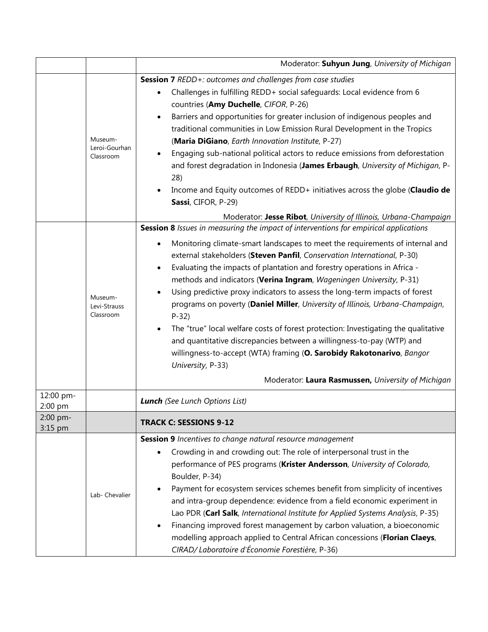|                      |                                       | Moderator: Suhyun Jung, University of Michigan                                                                                                                                                                                                                                                                                                                                                                                                                                                                                                                                                                                                                                                                                                                                                                                                                                                  |
|----------------------|---------------------------------------|-------------------------------------------------------------------------------------------------------------------------------------------------------------------------------------------------------------------------------------------------------------------------------------------------------------------------------------------------------------------------------------------------------------------------------------------------------------------------------------------------------------------------------------------------------------------------------------------------------------------------------------------------------------------------------------------------------------------------------------------------------------------------------------------------------------------------------------------------------------------------------------------------|
|                      | Museum-<br>Leroi-Gourhan<br>Classroom | <b>Session 7</b> REDD+: outcomes and challenges from case studies<br>Challenges in fulfilling REDD+ social safeguards: Local evidence from 6<br>countries (Amy Duchelle, CIFOR, P-26)<br>Barriers and opportunities for greater inclusion of indigenous peoples and<br>traditional communities in Low Emission Rural Development in the Tropics<br>(Maria DiGiano, Earth Innovation Institute, P-27)<br>Engaging sub-national political actors to reduce emissions from deforestation<br>and forest degradation in Indonesia (James Erbaugh, University of Michigan, P-<br>28)<br>Income and Equity outcomes of REDD+ initiatives across the globe (Claudio de<br>Sassi, CIFOR, P-29)<br>Moderator: Jesse Ribot, University of Illinois, Urbana-Champaign                                                                                                                                       |
|                      | Museum-<br>Levi-Strauss<br>Classroom  | Session 8 Issues in measuring the impact of interventions for empirical applications<br>Monitoring climate-smart landscapes to meet the requirements of internal and<br>external stakeholders (Steven Panfil, Conservation International, P-30)<br>Evaluating the impacts of plantation and forestry operations in Africa -<br>methods and indicators (Verina Ingram, Wageningen University, P-31)<br>Using predictive proxy indicators to assess the long-term impacts of forest<br>programs on poverty (Daniel Miller, University of Illinois, Urbana-Champaign,<br>$P-32$<br>The "true" local welfare costs of forest protection: Investigating the qualitative<br>and quantitative discrepancies between a willingness-to-pay (WTP) and<br>willingness-to-accept (WTA) framing (O. Sarobidy Rakotonarivo, Bangor<br>University, P-33)<br>Moderator: Laura Rasmussen, University of Michigan |
| 12:00 pm-<br>2:00 pm |                                       | <b>Lunch</b> (See Lunch Options List)                                                                                                                                                                                                                                                                                                                                                                                                                                                                                                                                                                                                                                                                                                                                                                                                                                                           |
| 2:00 pm-<br>3:15 pm  |                                       | <b>TRACK C: SESSIONS 9-12</b>                                                                                                                                                                                                                                                                                                                                                                                                                                                                                                                                                                                                                                                                                                                                                                                                                                                                   |
|                      | Lab- Chevalier                        | Session 9 Incentives to change natural resource management<br>Crowding in and crowding out: The role of interpersonal trust in the<br>performance of PES programs (Krister Andersson, University of Colorado,<br>Boulder, P-34)<br>Payment for ecosystem services schemes benefit from simplicity of incentives<br>and intra-group dependence: evidence from a field economic experiment in<br>Lao PDR (Carl Salk, International Institute for Applied Systems Analysis, P-35)<br>Financing improved forest management by carbon valuation, a bioeconomic<br>modelling approach applied to Central African concessions (Florian Claeys,<br>CIRAD/ Laboratoire d'Économie Forestière, P-36)                                                                                                                                                                                                      |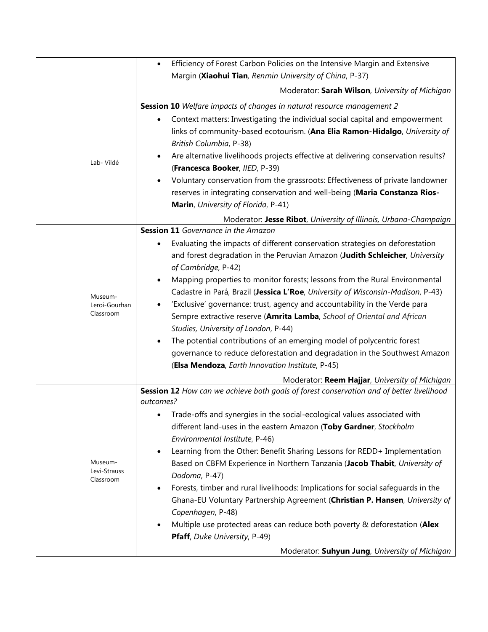|  |                          | Efficiency of Forest Carbon Policies on the Intensive Margin and Extensive                                                                                    |
|--|--------------------------|---------------------------------------------------------------------------------------------------------------------------------------------------------------|
|  |                          | Margin (Xiaohui Tian, Renmin University of China, P-37)                                                                                                       |
|  |                          | Moderator: Sarah Wilson, University of Michigan                                                                                                               |
|  |                          | <b>Session 10</b> Welfare impacts of changes in natural resource management 2                                                                                 |
|  |                          | Context matters: Investigating the individual social capital and empowerment                                                                                  |
|  |                          | links of community-based ecotourism. (Ana Elia Ramon-Hidalgo, University of                                                                                   |
|  |                          | British Columbia, P-38)                                                                                                                                       |
|  | Lab- Vildé               | Are alternative livelihoods projects effective at delivering conservation results?                                                                            |
|  |                          | (Francesca Booker, IIED, P-39)                                                                                                                                |
|  |                          | Voluntary conservation from the grassroots: Effectiveness of private landowner                                                                                |
|  |                          | reserves in integrating conservation and well-being (Maria Constanza Rios-                                                                                    |
|  |                          | Marin, University of Florida, P-41)                                                                                                                           |
|  |                          | Moderator: Jesse Ribot, University of Illinois, Urbana-Champaign                                                                                              |
|  |                          | Session 11 Governance in the Amazon                                                                                                                           |
|  |                          | Evaluating the impacts of different conservation strategies on deforestation                                                                                  |
|  |                          | and forest degradation in the Peruvian Amazon (Judith Schleicher, University                                                                                  |
|  |                          | of Cambridge, P-42)                                                                                                                                           |
|  |                          | Mapping properties to monitor forests; lessons from the Rural Environmental                                                                                   |
|  | Museum-<br>Leroi-Gourhan | Cadastre in Pará, Brazil (Jessica L'Roe, University of Wisconsin-Madison, P-43)<br>'Exclusive' governance: trust, agency and accountability in the Verde para |
|  | Classroom                | Sempre extractive reserve (Amrita Lamba, School of Oriental and African                                                                                       |
|  |                          | Studies, University of London, P-44)                                                                                                                          |
|  |                          | The potential contributions of an emerging model of polycentric forest                                                                                        |
|  |                          | governance to reduce deforestation and degradation in the Southwest Amazon                                                                                    |
|  |                          | (Elsa Mendoza, Earth Innovation Institute, P-45)                                                                                                              |
|  |                          | Moderator: Reem Hajjar, University of Michigan                                                                                                                |
|  |                          | Session 12 How can we achieve both goals of forest conservation and of better livelihood                                                                      |
|  |                          | outcomes?                                                                                                                                                     |
|  |                          | Trade-offs and synergies in the social-ecological values associated with                                                                                      |
|  |                          | different land-uses in the eastern Amazon (Toby Gardner, Stockholm                                                                                            |
|  |                          | Environmental Institute, P-46)                                                                                                                                |
|  |                          | Learning from the Other: Benefit Sharing Lessons for REDD+ Implementation<br>$\bullet$                                                                        |
|  | Museum-<br>Levi-Strauss  | Based on CBFM Experience in Northern Tanzania (Jacob Thabit, University of                                                                                    |
|  | Classroom                | Dodoma, P-47)<br>Forests, timber and rural livelihoods: Implications for social safeguards in the                                                             |
|  |                          | Ghana-EU Voluntary Partnership Agreement (Christian P. Hansen, University of                                                                                  |
|  |                          | Copenhagen, P-48)                                                                                                                                             |
|  |                          | Multiple use protected areas can reduce both poverty & deforestation (Alex                                                                                    |
|  |                          | Pfaff, Duke University, P-49)                                                                                                                                 |
|  |                          |                                                                                                                                                               |
|  |                          | Moderator: Suhyun Jung, University of Michigan                                                                                                                |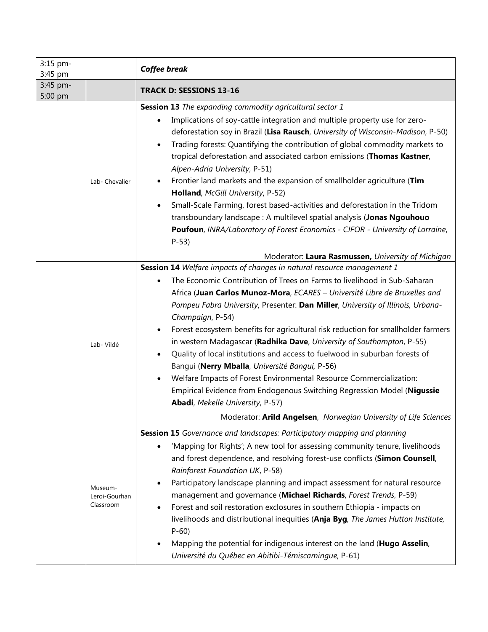| 3:15 pm-<br>3:45 pm |                                       | <b>Coffee break</b>                                                                                                                                                                                                                                                                                                                                                                                                                                                                                                                                                                                                                                                                                                                                                                                                                                                                              |
|---------------------|---------------------------------------|--------------------------------------------------------------------------------------------------------------------------------------------------------------------------------------------------------------------------------------------------------------------------------------------------------------------------------------------------------------------------------------------------------------------------------------------------------------------------------------------------------------------------------------------------------------------------------------------------------------------------------------------------------------------------------------------------------------------------------------------------------------------------------------------------------------------------------------------------------------------------------------------------|
| 3:45 pm-<br>5:00 pm |                                       | <b>TRACK D: SESSIONS 13-16</b>                                                                                                                                                                                                                                                                                                                                                                                                                                                                                                                                                                                                                                                                                                                                                                                                                                                                   |
|                     | Lab- Chevalier                        | Session 13 The expanding commodity agricultural sector 1<br>Implications of soy-cattle integration and multiple property use for zero-<br>deforestation soy in Brazil (Lisa Rausch, University of Wisconsin-Madison, P-50)<br>Trading forests: Quantifying the contribution of global commodity markets to<br>tropical deforestation and associated carbon emissions (Thomas Kastner,<br>Alpen-Adria University, P-51)<br>Frontier land markets and the expansion of smallholder agriculture (Tim<br>Holland, McGill University, P-52)<br>Small-Scale Farming, forest based-activities and deforestation in the Tridom<br>transboundary landscape: A multilevel spatial analysis (Jonas Ngouhouo<br>Poufoun, INRA/Laboratory of Forest Economics - CIFOR - University of Lorraine,<br>$P-53$<br>Moderator: Laura Rasmussen, University of Michigan                                               |
|                     | Lab- Vildé                            | Session 14 Welfare impacts of changes in natural resource management 1<br>The Economic Contribution of Trees on Farms to livelihood in Sub-Saharan<br>Africa (Juan Carlos Munoz-Mora, ECARES - Université Libre de Bruxelles and<br>Pompeu Fabra University, Presenter: Dan Miller, University of Illinois, Urbana-<br>Champaign, P-54)<br>Forest ecosystem benefits for agricultural risk reduction for smallholder farmers<br>in western Madagascar (Radhika Dave, University of Southampton, P-55)<br>Quality of local institutions and access to fuelwood in suburban forests of<br>Bangui (Nerry Mballa, Université Bangui, P-56)<br>Welfare Impacts of Forest Environmental Resource Commercialization:<br>Empirical Evidence from Endogenous Switching Regression Model (Nigussie<br>Abadi, Mekelle University, P-57)<br>Moderator: Arild Angelsen, Norwegian University of Life Sciences |
|                     | Museum-<br>Leroi-Gourhan<br>Classroom | Session 15 Governance and landscapes: Participatory mapping and planning<br>'Mapping for Rights'; A new tool for assessing community tenure, livelihoods<br>and forest dependence, and resolving forest-use conflicts (Simon Counsell,<br>Rainforest Foundation UK, P-58)<br>Participatory landscape planning and impact assessment for natural resource<br>management and governance (Michael Richards, Forest Trends, P-59)<br>Forest and soil restoration exclosures in southern Ethiopia - impacts on<br>livelihoods and distributional inequities (Anja Byg, The James Hutton Institute,<br>$P-60$<br>Mapping the potential for indigenous interest on the land (Hugo Asselin,<br>Université du Québec en Abitibi-Témiscaminque, P-61)                                                                                                                                                      |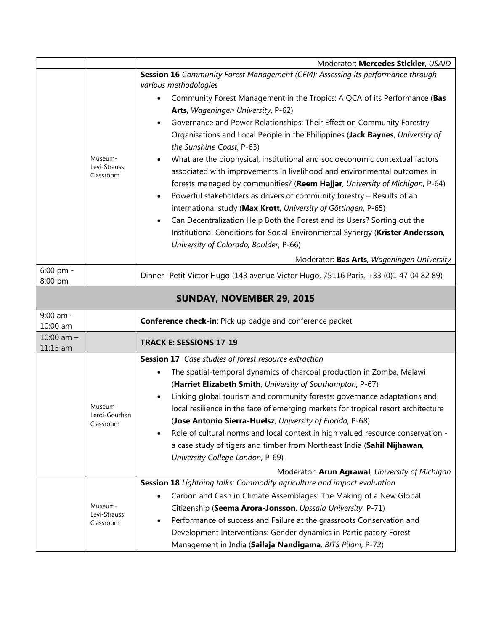|                           |                                      | Moderator: Mercedes Stickler, USAID                                                                                                                                                                                                                                                                                                                                                                                                                                                                                                                                                                                  |
|---------------------------|--------------------------------------|----------------------------------------------------------------------------------------------------------------------------------------------------------------------------------------------------------------------------------------------------------------------------------------------------------------------------------------------------------------------------------------------------------------------------------------------------------------------------------------------------------------------------------------------------------------------------------------------------------------------|
|                           |                                      | Session 16 Community Forest Management (CFM): Assessing its performance through<br>various methodologies                                                                                                                                                                                                                                                                                                                                                                                                                                                                                                             |
|                           |                                      | Community Forest Management in the Tropics: A QCA of its Performance (Bas<br>Arts, Wageningen University, P-62)                                                                                                                                                                                                                                                                                                                                                                                                                                                                                                      |
|                           |                                      | Governance and Power Relationships: Their Effect on Community Forestry                                                                                                                                                                                                                                                                                                                                                                                                                                                                                                                                               |
|                           |                                      | Organisations and Local People in the Philippines (Jack Baynes, University of<br>the Sunshine Coast, P-63)                                                                                                                                                                                                                                                                                                                                                                                                                                                                                                           |
|                           | Museum-<br>Levi-Strauss<br>Classroom | What are the biophysical, institutional and socioeconomic contextual factors<br>$\bullet$<br>associated with improvements in livelihood and environmental outcomes in<br>forests managed by communities? (Reem Hajjar, University of Michigan, P-64)<br>Powerful stakeholders as drivers of community forestry - Results of an<br>$\bullet$<br>international study (Max Krott, University of Göttingen, P-65)<br>Can Decentralization Help Both the Forest and its Users? Sorting out the<br>Institutional Conditions for Social-Environmental Synergy (Krister Andersson,<br>University of Colorado, Boulder, P-66) |
|                           |                                      | Moderator: Bas Arts, Wageningen University                                                                                                                                                                                                                                                                                                                                                                                                                                                                                                                                                                           |
| 6:00 pm -<br>8:00 pm      |                                      | Dinner- Petit Victor Hugo (143 avenue Victor Hugo, 75116 Paris, +33 (0)1 47 04 82 89)                                                                                                                                                                                                                                                                                                                                                                                                                                                                                                                                |
|                           |                                      | <b>SUNDAY, NOVEMBER 29, 2015</b>                                                                                                                                                                                                                                                                                                                                                                                                                                                                                                                                                                                     |
| $9:00$ am $-$<br>10:00 am |                                      | Conference check-in: Pick up badge and conference packet                                                                                                                                                                                                                                                                                                                                                                                                                                                                                                                                                             |
| 10:00 am $-$<br>11:15 am  |                                      | <b>TRACK E: SESSIONS 17-19</b>                                                                                                                                                                                                                                                                                                                                                                                                                                                                                                                                                                                       |
|                           |                                      | <b>Session 17</b> Case studies of forest resource extraction                                                                                                                                                                                                                                                                                                                                                                                                                                                                                                                                                         |
|                           |                                      | The spatial-temporal dynamics of charcoal production in Zomba, Malawi                                                                                                                                                                                                                                                                                                                                                                                                                                                                                                                                                |
|                           |                                      | (Harriet Elizabeth Smith, University of Southampton, P-67)                                                                                                                                                                                                                                                                                                                                                                                                                                                                                                                                                           |
|                           |                                      | Linking global tourism and community forests: governance adaptations and                                                                                                                                                                                                                                                                                                                                                                                                                                                                                                                                             |
|                           | Museum-                              | local resilience in the face of emerging markets for tropical resort architecture                                                                                                                                                                                                                                                                                                                                                                                                                                                                                                                                    |
|                           | Leroi-Gourhan<br>Classroom           | (Jose Antonio Sierra-Huelsz, University of Florida, P-68)                                                                                                                                                                                                                                                                                                                                                                                                                                                                                                                                                            |
|                           |                                      | Role of cultural norms and local context in high valued resource conservation -<br>$\bullet$                                                                                                                                                                                                                                                                                                                                                                                                                                                                                                                         |
|                           |                                      | a case study of tigers and timber from Northeast India (Sahil Nijhawan,                                                                                                                                                                                                                                                                                                                                                                                                                                                                                                                                              |
|                           |                                      | University College London, P-69)                                                                                                                                                                                                                                                                                                                                                                                                                                                                                                                                                                                     |
|                           |                                      | Moderator: Arun Agrawal, University of Michigan                                                                                                                                                                                                                                                                                                                                                                                                                                                                                                                                                                      |
|                           |                                      | Session 18 Lightning talks: Commodity agriculture and impact evaluation                                                                                                                                                                                                                                                                                                                                                                                                                                                                                                                                              |
|                           |                                      | Carbon and Cash in Climate Assemblages: The Making of a New Global                                                                                                                                                                                                                                                                                                                                                                                                                                                                                                                                                   |
|                           | Museum-                              | Citizenship (Seema Arora-Jonsson, Upssala University, P-71)                                                                                                                                                                                                                                                                                                                                                                                                                                                                                                                                                          |
|                           | Levi-Strauss<br>Classroom            | Performance of success and Failure at the grassroots Conservation and                                                                                                                                                                                                                                                                                                                                                                                                                                                                                                                                                |
|                           |                                      | Development Interventions: Gender dynamics in Participatory Forest                                                                                                                                                                                                                                                                                                                                                                                                                                                                                                                                                   |
|                           |                                      | Management in India (Sailaja Nandigama, BITS Pilani, P-72)                                                                                                                                                                                                                                                                                                                                                                                                                                                                                                                                                           |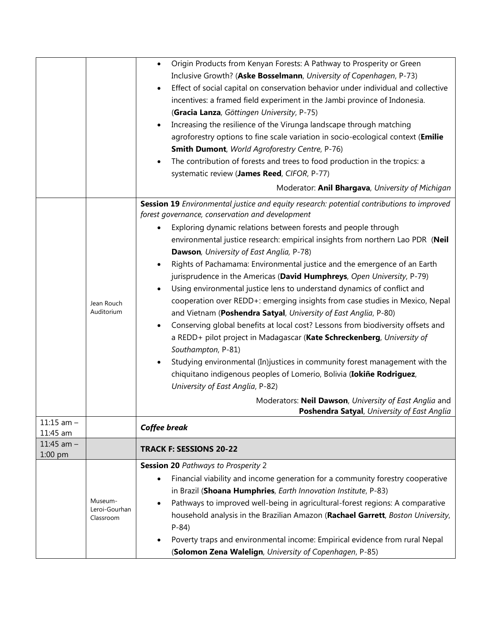|                           |                            | Origin Products from Kenyan Forests: A Pathway to Prosperity or Green<br>$\bullet$             |
|---------------------------|----------------------------|------------------------------------------------------------------------------------------------|
|                           |                            | Inclusive Growth? (Aske Bosselmann, University of Copenhagen, P-73)                            |
|                           |                            | Effect of social capital on conservation behavior under individual and collective<br>$\bullet$ |
|                           |                            | incentives: a framed field experiment in the Jambi province of Indonesia.                      |
|                           |                            | (Gracia Lanza, Göttingen University, P-75)                                                     |
|                           |                            | Increasing the resilience of the Virunga landscape through matching                            |
|                           |                            | agroforestry options to fine scale variation in socio-ecological context ( <i>Emilie</i>       |
|                           |                            | Smith Dumont, World Agroforestry Centre, P-76)                                                 |
|                           |                            | The contribution of forests and trees to food production in the tropics: a                     |
|                           |                            | systematic review (James Reed, CIFOR, P-77)                                                    |
|                           |                            | Moderator: Anil Bhargava, University of Michigan                                               |
|                           |                            | Session 19 Environmental justice and equity research: potential contributions to improved      |
|                           |                            | forest governance, conservation and development                                                |
|                           |                            | Exploring dynamic relations between forests and people through                                 |
|                           |                            | environmental justice research: empirical insights from northern Lao PDR (Neil                 |
|                           |                            | Dawson, University of East Anglia, P-78)                                                       |
|                           |                            | Rights of Pachamama: Environmental justice and the emergence of an Earth<br>$\bullet$          |
|                           |                            | jurisprudence in the Americas (David Humphreys, Open University, P-79)                         |
|                           |                            | Using environmental justice lens to understand dynamics of conflict and<br>$\bullet$           |
|                           | Jean Rouch                 | cooperation over REDD+: emerging insights from case studies in Mexico, Nepal                   |
|                           | Auditorium                 | and Vietnam (Poshendra Satyal, University of East Anglia, P-80)                                |
|                           |                            | Conserving global benefits at local cost? Lessons from biodiversity offsets and                |
|                           |                            | a REDD+ pilot project in Madagascar (Kate Schreckenberg, University of                         |
|                           |                            | Southampton, P-81)                                                                             |
|                           |                            | Studying environmental (In)justices in community forest management with the                    |
|                           |                            | chiquitano indigenous peoples of Lomerio, Bolivia (Iokiñe Rodriguez,                           |
|                           |                            | University of East Anglia, P-82)                                                               |
|                           |                            | Moderators: Neil Dawson, University of East Anglia and                                         |
|                           |                            | Poshendra Satyal, University of East Anglia                                                    |
| 11:15 $am -$              |                            | <b>Coffee break</b>                                                                            |
| 11:45 am                  |                            |                                                                                                |
| 11:45 am $-$<br>$1:00$ pm |                            | <b>TRACK F: SESSIONS 20-22</b>                                                                 |
|                           |                            | <b>Session 20</b> Pathways to Prosperity 2                                                     |
|                           |                            | Financial viability and income generation for a community forestry cooperative                 |
|                           |                            | in Brazil (Shoana Humphries, Earth Innovation Institute, P-83)                                 |
|                           | Museum-                    | Pathways to improved well-being in agricultural-forest regions: A comparative                  |
|                           | Leroi-Gourhan<br>Classroom | household analysis in the Brazilian Amazon (Rachael Garrett, Boston University,                |
|                           |                            | $P-84)$                                                                                        |
|                           |                            | Poverty traps and environmental income: Empirical evidence from rural Nepal                    |
|                           |                            | (Solomon Zena Walelign, University of Copenhagen, P-85)                                        |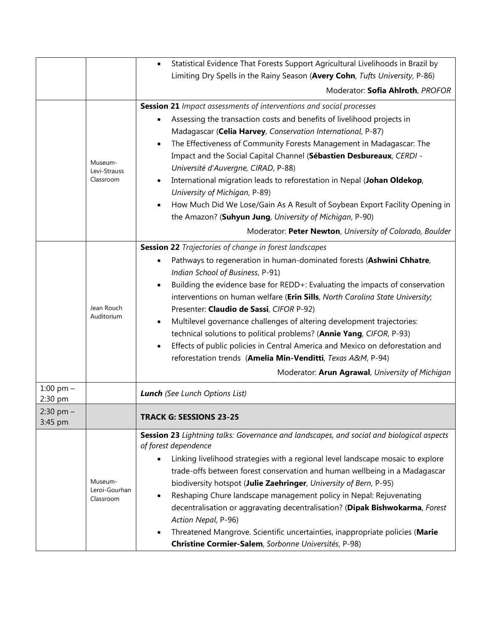|                          |                                       | Statistical Evidence That Forests Support Agricultural Livelihoods in Brazil by<br>$\bullet$ |
|--------------------------|---------------------------------------|----------------------------------------------------------------------------------------------|
|                          |                                       | Limiting Dry Spells in the Rainy Season (Avery Cohn, Tufts University, P-86)                 |
|                          |                                       | Moderator: Sofia Ahlroth, PROFOR                                                             |
|                          |                                       | Session 21 Impact assessments of interventions and social processes                          |
|                          |                                       | Assessing the transaction costs and benefits of livelihood projects in                       |
|                          |                                       | Madagascar (Celia Harvey, Conservation International, P-87)                                  |
|                          |                                       | The Effectiveness of Community Forests Management in Madagascar: The<br>$\bullet$            |
|                          |                                       | Impact and the Social Capital Channel (Sébastien Desbureaux, CERDI -                         |
|                          | Museum-<br>Levi-Strauss               | Université d'Auvergne, CIRAD, P-88)                                                          |
|                          | Classroom                             | International migration leads to reforestation in Nepal (Johan Oldekop,                      |
|                          |                                       | University of Michigan, P-89)                                                                |
|                          |                                       | How Much Did We Lose/Gain As A Result of Soybean Export Facility Opening in                  |
|                          |                                       | the Amazon? (Suhyun Jung, University of Michigan, P-90)                                      |
|                          |                                       | Moderator: Peter Newton, University of Colorado, Boulder                                     |
|                          |                                       | <b>Session 22</b> Trajectories of change in forest landscapes                                |
|                          |                                       | Pathways to regeneration in human-dominated forests (Ashwini Chhatre,                        |
|                          |                                       | Indian School of Business, P-91)                                                             |
|                          |                                       | Building the evidence base for REDD+: Evaluating the impacts of conservation                 |
|                          |                                       | interventions on human welfare (Erin Sills, North Carolina State University;                 |
|                          | Jean Rouch                            | Presenter: Claudio de Sassi, CIFOR P-92)                                                     |
|                          | Auditorium                            | Multilevel governance challenges of altering development trajectories:<br>$\bullet$          |
|                          |                                       | technical solutions to political problems? (Annie Yang, CIFOR, P-93)                         |
|                          |                                       | Effects of public policies in Central America and Mexico on deforestation and<br>$\bullet$   |
|                          |                                       | reforestation trends (Amelia Min-Venditti, Texas A&M, P-94)                                  |
|                          |                                       | Moderator: Arun Agrawal, University of Michigan                                              |
| 1:00 pm $-$              |                                       | Lunch (See Lunch Options List)                                                               |
| 2:30 pm                  |                                       |                                                                                              |
| $2:30$ pm $-$<br>3:45 pm |                                       | <b>TRACK G: SESSIONS 23-25</b>                                                               |
|                          |                                       | Session 23 Lightning talks: Governance and landscapes, and social and biological aspects     |
|                          |                                       | of forest dependence                                                                         |
|                          |                                       | Linking livelihood strategies with a regional level landscape mosaic to explore              |
|                          |                                       | trade-offs between forest conservation and human wellbeing in a Madagascar                   |
|                          | Museum-<br>Leroi-Gourhan<br>Classroom | biodiversity hotspot (Julie Zaehringer, University of Bern, P-95)                            |
|                          |                                       | Reshaping Chure landscape management policy in Nepal: Rejuvenating<br>$\bullet$              |
|                          |                                       | decentralisation or aggravating decentralisation? (Dipak Bishwokarma, Forest                 |
|                          |                                       | Action Nepal, P-96)                                                                          |
|                          |                                       | Threatened Mangrove. Scientific uncertainties, inappropriate policies (Marie<br>$\bullet$    |
|                          |                                       | Christine Cormier-Salem, Sorbonne Universités, P-98)                                         |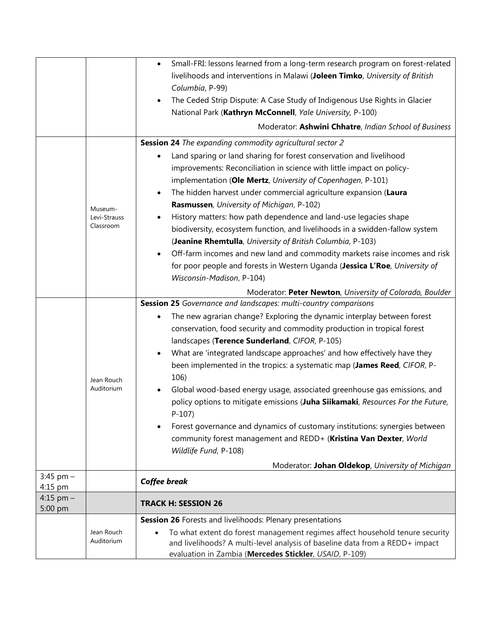|                          |                                      | Small-FRI: lessons learned from a long-term research program on forest-related<br>$\bullet$<br>livelihoods and interventions in Malawi (Joleen Timko, University of British<br>Columbia, P-99)<br>The Ceded Strip Dispute: A Case Study of Indigenous Use Rights in Glacier<br>National Park (Kathryn McConnell, Yale University, P-100)<br>Moderator: Ashwini Chhatre, Indian School of Business                                                                                                                                                                                                                                                                                                                                                                                                                                                                                    |
|--------------------------|--------------------------------------|--------------------------------------------------------------------------------------------------------------------------------------------------------------------------------------------------------------------------------------------------------------------------------------------------------------------------------------------------------------------------------------------------------------------------------------------------------------------------------------------------------------------------------------------------------------------------------------------------------------------------------------------------------------------------------------------------------------------------------------------------------------------------------------------------------------------------------------------------------------------------------------|
|                          | Museum-<br>Levi-Strauss<br>Classroom | <b>Session 24</b> The expanding commodity agricultural sector 2<br>Land sparing or land sharing for forest conservation and livelihood<br>improvements: Reconciliation in science with little impact on policy-<br>implementation (Ole Mertz, University of Copenhagen, P-101)<br>The hidden harvest under commercial agriculture expansion (Laura<br>$\bullet$<br>Rasmussen, University of Michigan, P-102)<br>History matters: how path dependence and land-use legacies shape<br>biodiversity, ecosystem function, and livelihoods in a swidden-fallow system<br>(Jeanine Rhemtulla, University of British Columbia, P-103)<br>Off-farm incomes and new land and commodity markets raise incomes and risk<br>for poor people and forests in Western Uganda (Jessica L'Roe, University of<br>Wisconsin-Madison, P-104)<br>Moderator: Peter Newton, University of Colorado, Boulder |
|                          | Jean Rouch<br>Auditorium             | Session 25 Governance and landscapes: multi-country comparisons<br>The new agrarian change? Exploring the dynamic interplay between forest<br>conservation, food security and commodity production in tropical forest<br>landscapes (Terence Sunderland, CIFOR, P-105)<br>What are 'integrated landscape approaches' and how effectively have they<br>been implemented in the tropics: a systematic map (James Reed, CIFOR, P-<br>106)<br>Global wood-based energy usage, associated greenhouse gas emissions, and<br>policy options to mitigate emissions (Juha Siikamaki, Resources For the Future,<br>$P-107$<br>Forest governance and dynamics of customary institutions: synergies between<br>community forest management and REDD+ (Kristina Van Dexter, World<br>Wildlife Fund, P-108)<br>Moderator: Johan Oldekop, University of Michigan                                    |
| $3:45$ pm $-$<br>4:15 pm |                                      | <b>Coffee break</b>                                                                                                                                                                                                                                                                                                                                                                                                                                                                                                                                                                                                                                                                                                                                                                                                                                                                  |
| 4:15 pm $-$<br>5:00 pm   |                                      | <b>TRACK H: SESSION 26</b>                                                                                                                                                                                                                                                                                                                                                                                                                                                                                                                                                                                                                                                                                                                                                                                                                                                           |
|                          | Jean Rouch<br>Auditorium             | Session 26 Forests and livelihoods: Plenary presentations<br>To what extent do forest management regimes affect household tenure security<br>$\bullet$<br>and livelihoods? A multi-level analysis of baseline data from a REDD+ impact<br>evaluation in Zambia (Mercedes Stickler, USAID, P-109)                                                                                                                                                                                                                                                                                                                                                                                                                                                                                                                                                                                     |